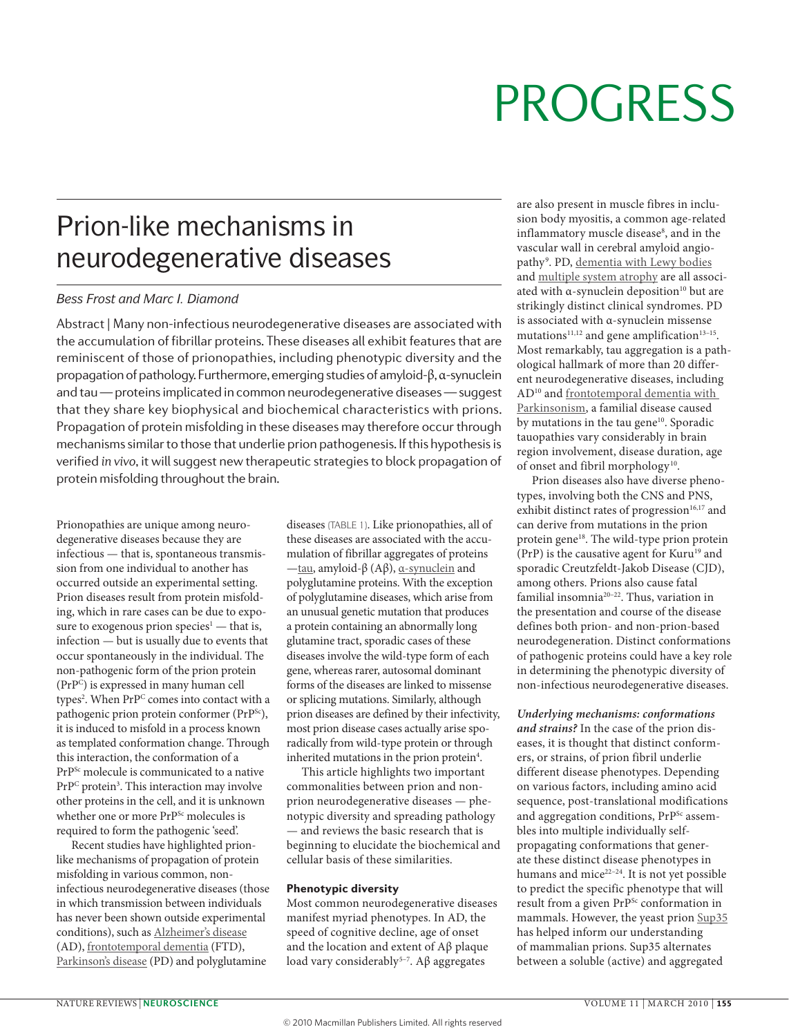# **PROGRESS**

## Prion-like mechanisms in neurodegenerative diseases

#### *Bess Frost and Marc I. Diamond*

Abstract | Many non-infectious neurodegenerative diseases are associated with the accumulation of fibrillar proteins. These diseases all exhibit features that are reminiscent of those of prionopathies, including phenotypic diversity and the propagation of pathology. Furthermore, emerging studies of amyloid-β, α-synuclein and tau — proteins implicated in common neurodegenerative diseases — suggest that they share key biophysical and biochemical characteristics with prions. Propagation of protein misfolding in these diseases may therefore occur through mechanisms similar to those that underlie prion pathogenesis. If this hypothesis is verified *in vivo*, it will suggest new therapeutic strategies to block propagation of protein misfolding throughout the brain.

Prionopathies are unique among neurodegenerative diseases because they are infectious — that is, spontaneous transmission from one individual to another has occurred outside an experimental setting. Prion diseases result from protein misfolding, which in rare cases can be due to exposure to exogenous prion species<sup>1</sup> — that is, infection — but is usually due to events that occur spontaneously in the individual. The non-pathogenic form of the prion protein (PrPC) is expressed in many human cell types<sup>2</sup>. When PrP<sup>C</sup> comes into contact with a pathogenic prion protein conformer (PrP<sup>Sc</sup>), it is induced to misfold in a process known as templated conformation change. Through this interaction, the conformation of a PrP<sup>Sc</sup> molecule is communicated to a native PrP<sup>C</sup> protein<sup>3</sup>. This interaction may involve other proteins in the cell, and it is unknown whether one or more PrP<sup>Sc</sup> molecules is required to form the pathogenic 'seed'.

Recent studies have highlighted prionlike mechanisms of propagation of protein misfolding in various common, noninfectious neurodegenerative diseases (those in which transmission between individuals has never been shown outside experimental conditions), such as [Alzheimer's disease](http://www.ncbi.nlm.nih.gov/entrez/dispomim.cgi?id=104300) (AD), [frontotemporal dementia](http://www.ncbi.nlm.nih.gov/entrez/dispomim.cgi?id=600274) (FTD), [Parkinson's disease](http://www.ncbi.nlm.nih.gov/entrez/dispomim.cgi?id=168600) (PD) and polyglutamine

diseases (TABLE 1). Like prionopathies, all of these diseases are associated with the accumulation of fibrillar aggregates of proteins —[tau](http://www.uniprot.org/uniprot/P10636), amyloid-β (Aβ),  $α$ -synuclein and polyglutamine proteins. With the exception of polyglutamine diseases, which arise from an unusual genetic mutation that produces a protein containing an abnormally long glutamine tract, sporadic cases of these diseases involve the wild-type form of each gene, whereas rarer, autosomal dominant forms of the diseases are linked to missense or splicing mutations. Similarly, although prion diseases are defined by their infectivity, most prion disease cases actually arise sporadically from wild-type protein or through inherited mutations in the prion protein<sup>4</sup>.

This article highlights two important commonalities between prion and nonprion neurodegenerative diseases — phenotypic diversity and spreading pathology — and reviews the basic research that is beginning to elucidate the biochemical and cellular basis of these similarities.

#### Phenotypic diversity

Most common neurodegenerative diseases manifest myriad phenotypes. In AD, the speed of cognitive decline, age of onset and the location and extent of Aβ plaque load vary considerably<sup>5-7</sup>. Aβ aggregates

are also present in muscle fibres in inclusion body myositis, a common age-related inflammatory muscle disease<sup>8</sup>, and in the vascular wall in cerebral amyloid angiopathy<sup>9</sup>. PD, <u>[dementia with Lewy bodies](http://www.ncbi.nlm.nih.gov/entrez/dispomim.cgi?id=127750)</u> and [multiple system atrophy](http://www.ncbi.nlm.nih.gov/entrez/dispomim.cgi?id=146500) are all associated with  $\alpha$ -synuclein deposition<sup>10</sup> but are strikingly distinct clinical syndromes. PD is associated with  $\alpha$ -synuclein missense mutations<sup>11,12</sup> and gene amplification<sup>13-15</sup>. Most remarkably, tau aggregation is a pathological hallmark of more than 20 different neurodegenerative diseases, including AD10 and [frontotemporal dementia with](http://www.ncbi.nlm.nih.gov/entrez/dispomim.cgi?id=105500)  [Parkinsonism](http://www.ncbi.nlm.nih.gov/entrez/dispomim.cgi?id=105500), a familial disease caused by mutations in the tau gene<sup>10</sup>. Sporadic tauopathies vary considerably in brain region involvement, disease duration, age of onset and fibril morphology<sup>10</sup>.

Prion diseases also have diverse phenotypes, involving both the CNS and PNS, exhibit distinct rates of progression<sup>16,17</sup> and can derive from mutations in the prion protein gene<sup>18</sup>. The wild-type prion protein (PrP) is the causative agent for Kuru<sup>19</sup> and sporadic Creutzfeldt-Jakob Disease (CJD), among others. Prions also cause fatal familial insomnia20–22. Thus, variation in the presentation and course of the disease defines both prion- and non-prion-based neurodegeneration. Distinct conformations of pathogenic proteins could have a key role in determining the phenotypic diversity of non-infectious neurodegenerative diseases.

*Underlying mechanisms: conformations and strains?* In the case of the prion diseases, it is thought that distinct conformers, or strains, of prion fibril underlie different disease phenotypes. Depending on various factors, including amino acid sequence, post-translational modifications and aggregation conditions, PrP<sup>Sc</sup> assembles into multiple individually selfpropagating conformations that generate these distinct disease phenotypes in humans and mice<sup>22-24</sup>. It is not yet possible to predict the specific phenotype that will result from a given PrP<sup>Sc</sup> conformation in mammals. However, the yeast prion [Sup35](http://www.uniprot.org/uniprot/Q07089) has helped inform our understanding of mammalian prions. Sup35 alternates between a soluble (active) and aggregated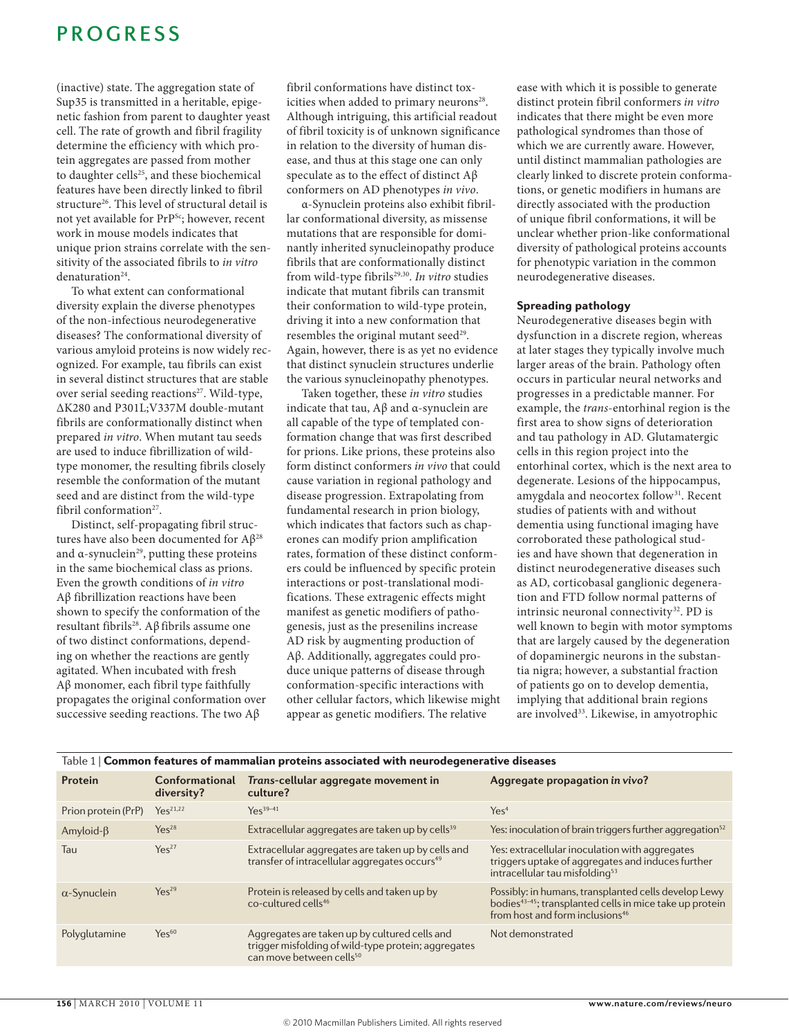### **PROGRESS**

(inactive) state. The aggregation state of Sup35 is transmitted in a heritable, epigenetic fashion from parent to daughter yeast cell. The rate of growth and fibril fragility determine the efficiency with which protein aggregates are passed from mother to daughter cells<sup>25</sup>, and these biochemical features have been directly linked to fibril structure<sup>26</sup>. This level of structural detail is not yet available for PrP<sup>Sc</sup>; however, recent work in mouse models indicates that unique prion strains correlate with the sensitivity of the associated fibrils to *in vitro* denaturation<sup>24</sup>.

To what extent can conformational diversity explain the diverse phenotypes of the non-infectious neurodegenerative diseases? The conformational diversity of various amyloid proteins is now widely recognized. For example, tau fibrils can exist in several distinct structures that are stable over serial seeding reactions<sup>27</sup>. Wild-type, ΔK280 and P301L;v337M doublemutant fibrils are conformationally distinct when prepared *in vitro*. When mutant tau seeds are used to induce fibrillization of wildtype monomer, the resulting fibrils closely resemble the conformation of the mutant seed and are distinct from the wild-type fibril conformation<sup>27</sup>.

Distinct, self-propagating fibril structures have also been documented for Aβ28 and  $\alpha$ -synuclein<sup>29</sup>, putting these proteins in the same biochemical class as prions. even the growth conditions of *in vitro*  Aβ fibrillization reactions have been shown to specify the conformation of the resultant fibrils<sup>28</sup>. Aβ fibrils assume one of two distinct conformations, depending on whether the reactions are gently agitated. When incubated with fresh Aβ monomer, each fibril type faithfully propagates the original conformation over successive seeding reactions. The two Aβ

fibril conformations have distinct toxicities when added to primary neurons<sup>28</sup>. Although intriguing, this artificial readout of fibril toxicity is of unknown significance in relation to the diversity of human disease, and thus at this stage one can only speculate as to the effect of distinct Aβ conformers on AD phenotypes *in vivo*.

α-Synuclein proteins also exhibit fibrillar conformational diversity, as missense mutations that are responsible for dominantly inherited synucleinopathy produce fibrils that are conformationally distinct from wild-type fibrils<sup>29,30</sup>. In vitro studies indicate that mutant fibrils can transmit their conformation to wild-type protein, driving it into a new conformation that resembles the original mutant seed<sup>29</sup>. Again, however, there is as yet no evidence that distinct synuclein structures underlie the various synucleinopathy phenotypes.

Taken together, these *in vitro* studies indicate that tau,  $A\beta$  and  $\alpha$ -synuclein are all capable of the type of templated conformation change that was first described for prions. Like prions, these proteins also form distinct conformers *in vivo* that could cause variation in regional pathology and disease progression. Extrapolating from fundamental research in prion biology, which indicates that factors such as chaperones can modify prion amplification rates, formation of these distinct conformers could be influenced by specific protein interactions or post-translational modifications. These extragenic effects might manifest as genetic modifiers of pathogenesis, just as the presenilins increase AD risk by augmenting production of Aβ. Additionally, aggregates could produce unique patterns of disease through conformation-specific interactions with other cellular factors, which likewise might appear as genetic modifiers. The relative

ease with which it is possible to generate distinct protein fibril conformers *in vitro* indicates that there might be even more pathological syndromes than those of which we are currently aware. However, until distinct mammalian pathologies are clearly linked to discrete protein conformations, or genetic modifiers in humans are directly associated with the production of unique fibril conformations, it will be unclear whether prion-like conformational diversity of pathological proteins accounts for phenotypic variation in the common neurodegenerative diseases.

#### Spreading pathology

Neurodegenerative diseases begin with dysfunction in a discrete region, whereas at later stages they typically involve much larger areas of the brain. Pathology often occurs in particular neural networks and progresses in a predictable manner. For example, the *trans*-entorhinal region is the first area to show signs of deterioration and tau pathology in AD. Glutamatergic cells in this region project into the entorhinal cortex, which is the next area to degenerate. Lesions of the hippocampus, amygdala and neocortex follow<sup>31</sup>. Recent studies of patients with and without dementia using functional imaging have corroborated these pathological studies and have shown that degeneration in distinct neurodegenerative diseases such as AD, corticobasal ganglionic degeneration and FTD follow normal patterns of intrinsic neuronal connectivity<sup>32</sup>. PD is well known to begin with motor symptoms that are largely caused by the degeneration of dopaminergic neurons in the substantia nigra; however, a substantial fraction of patients go on to develop dementia, implying that additional brain regions are involved<sup>33</sup>. Likewise, in amyotrophic

| Table 1   Common features of mammalian proteins associated with neurodegenerative diseases |                                     |                                                                                                                                              |                                                                                                                                                                             |
|--------------------------------------------------------------------------------------------|-------------------------------------|----------------------------------------------------------------------------------------------------------------------------------------------|-----------------------------------------------------------------------------------------------------------------------------------------------------------------------------|
| Protein                                                                                    | <b>Conformational</b><br>diversity? | Trans-cellular aggregate movement in<br>culture?                                                                                             | Aggregate propagation in vivo?                                                                                                                                              |
| Prion protein (PrP)                                                                        | $Y_{\mathsf{PS}}^{21,22}$           | $Y_{\mathsf{P}}^{39-41}$                                                                                                                     | Yes <sup>4</sup>                                                                                                                                                            |
| Amyloid- $\beta$                                                                           | Yes <sup>28</sup>                   | Extracellular aggregates are taken up by cells <sup>39</sup>                                                                                 | Yes: inoculation of brain triggers further aggregation <sup>52</sup>                                                                                                        |
| Tau                                                                                        | Yes <sup>27</sup>                   | Extracellular aggregates are taken up by cells and<br>transfer of intracellular aggregates occurs <sup>49</sup>                              | Yes: extracellular inoculation with aggregates<br>triggers uptake of aggregates and induces further<br>intracellular tau misfolding <sup>53</sup>                           |
| $\alpha$ -Synuclein                                                                        | Yes <sup>29</sup>                   | Protein is released by cells and taken up by<br>co-cultured cells <sup>46</sup>                                                              | Possibly: in humans, transplanted cells develop Lewy<br>bodies <sup>43-45</sup> ; transplanted cells in mice take up protein<br>from host and form inclusions <sup>46</sup> |
| Polyglutamine                                                                              | $Yes^{60}$                          | Aggregates are taken up by cultured cells and<br>trigger misfolding of wild-type protein; aggregates<br>can move between cells <sup>50</sup> | Not demonstrated                                                                                                                                                            |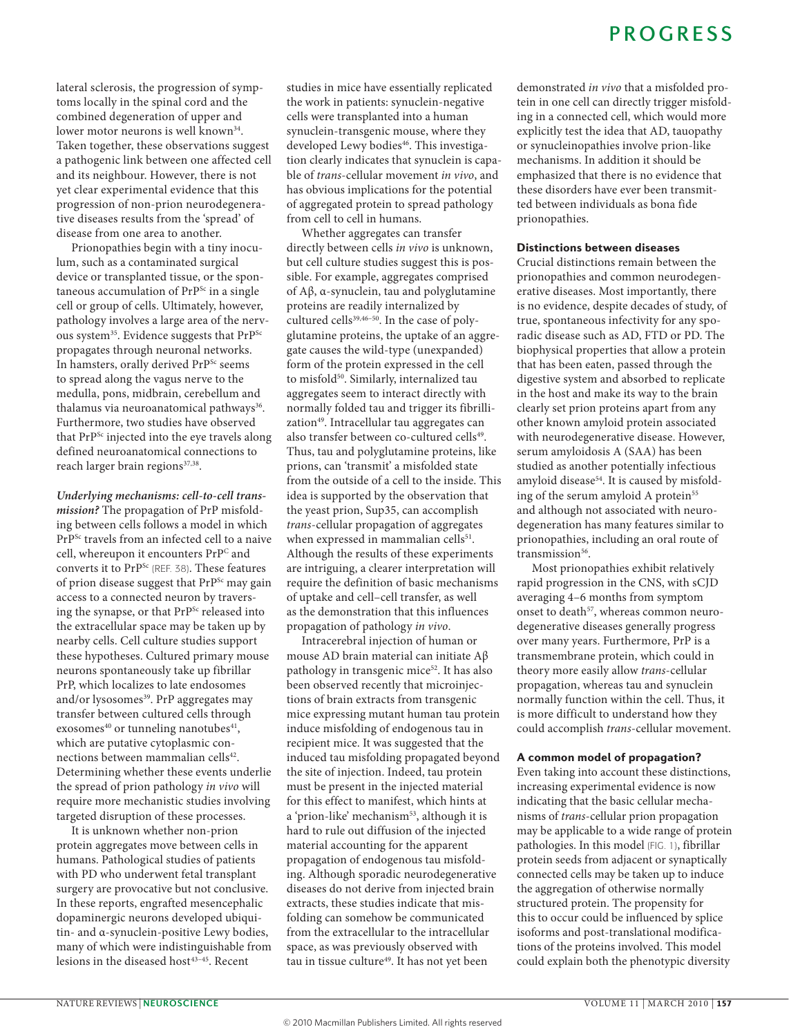lateral sclerosis, the progression of symptoms locally in the spinal cord and the combined degeneration of upper and lower motor neurons is well known<sup>34</sup>. Taken together, these observations suggest a pathogenic link between one affected cell and its neighbour. However, there is not yet clear experimental evidence that this progression of non-prion neurodegenerative diseases results from the 'spread' of disease from one area to another.

Prionopathies begin with a tiny inoculum, such as a contaminated surgical device or transplanted tissue, or the spontaneous accumulation of PrP<sup>Sc</sup> in a single cell or group of cells. Ultimately, however, pathology involves a large area of the nervous system<sup>35</sup>. Evidence suggests that PrP<sup>Sc</sup> propagates through neuronal networks. In hamsters, orally derived PrP<sup>Sc</sup> seems to spread along the vagus nerve to the medulla, pons, midbrain, cerebellum and thalamus via neuroanatomical pathways<sup>36</sup>. Furthermore, two studies have observed that PrP<sup>Sc</sup> injected into the eye travels along defined neuroanatomical connections to reach larger brain regions<sup>37,38</sup>.

*Underlying mechanisms: cell-to-cell transmission?* The propagation of PrP misfolding between cells follows a model in which PrPSc travels from an infected cell to a naive cell, whereupon it encounters PrPC and converts it to PrPSc (REf. 38). These features of prion disease suggest that PrP<sup>Sc</sup> may gain access to a connected neuron by traversing the synapse, or that PrP<sup>Sc</sup> released into the extracellular space may be taken up by nearby cells. Cell culture studies support these hypotheses. Cultured primary mouse neurons spontaneously take up fibrillar PrP, which localizes to late endosomes and/or lysosomes<sup>39</sup>. PrP aggregates may transfer between cultured cells through exosomes $40$  or tunneling nanotubes $41$ , which are putative cytoplasmic connections between mammalian cells<sup>42</sup>. Determining whether these events underlie the spread of prion pathology *in vivo* will require more mechanistic studies involving targeted disruption of these processes.

It is unknown whether non-prion protein aggregates move between cells in humans. Pathological studies of patients with PD who underwent fetal transplant surgery are provocative but not conclusive. In these reports, engrafted mesencephalic dopaminergic neurons developed ubiquitin- and α-synuclein-positive Lewy bodies, many of which were indistinguishable from lesions in the diseased host $43-45$ . Recent

studies in mice have essentially replicated the work in patients: synuclein-negative cells were transplanted into a human synuclein-transgenic mouse, where they developed Lewy bodies<sup>46</sup>. This investigation clearly indicates that synuclein is capable of *trans-cellular* movement *in vivo*, and has obvious implications for the potential of aggregated protein to spread pathology from cell to cell in humans.

Whether aggregates can transfer directly between cells *in vivo* is unknown, but cell culture studies suggest this is possible. For example, aggregates comprised of  $A\beta$ , α-synuclein, tau and polyglutamine proteins are readily internalized by cultured cells<sup>39,46–50</sup>. In the case of polyglutamine proteins, the uptake of an aggregate causes the wild-type (unexpanded) form of the protein expressed in the cell to misfold<sup>50</sup>. Similarly, internalized tau aggregates seem to interact directly with normally folded tau and trigger its fibrillization<sup>49</sup>. Intracellular tau aggregates can also transfer between co-cultured cells<sup>49</sup>. Thus, tau and polyglutamine proteins, like prions, can 'transmit' a misfolded state from the outside of a cell to the inside. This idea is supported by the observation that the yeast prion, Sup35, can accomplish *trans-cellular propagation of aggregates* when expressed in mammalian cells<sup>51</sup>. Although the results of these experiments are intriguing, a clearer interpretation will require the definition of basic mechanisms of uptake and cell–cell transfer, as well as the demonstration that this influences propagation of pathology *in vivo*.

Intracerebral injection of human or mouse AD brain material can initiate Aβ pathology in transgenic mice<sup>52</sup>. It has also been observed recently that microinjections of brain extracts from transgenic mice expressing mutant human tau protein induce misfolding of endogenous tau in recipient mice. It was suggested that the induced tau misfolding propagated beyond the site of injection. Indeed, tau protein must be present in the injected material for this effect to manifest, which hints at a 'prion-like' mechanism<sup>53</sup>, although it is hard to rule out diffusion of the injected material accounting for the apparent propagation of endogenous tau misfolding. Although sporadic neurodegenerative diseases do not derive from injected brain extracts, these studies indicate that misfolding can somehow be communicated from the extracellular to the intracellular space, as was previously observed with tau in tissue culture<sup>49</sup>. It has not yet been

demonstrated *in vivo* that a misfolded protein in one cell can directly trigger misfolding in a connected cell, which would more explicitly test the idea that AD, tauopathy or synucleinopathies involve prion-like mechanisms. In addition it should be emphasized that there is no evidence that these disorders have ever been transmitted between individuals as bona fide prionopathies.

#### Distinctions between diseases

Crucial distinctions remain between the prionopathies and common neurodegenerative diseases. Most importantly, there is no evidence, despite decades of study, of true, spontaneous infectivity for any sporadic disease such as AD, FTD or PD. The biophysical properties that allow a protein that has been eaten, passed through the digestive system and absorbed to replicate in the host and make its way to the brain clearly set prion proteins apart from any other known amyloid protein associated with neurodegenerative disease. However, serum amyloidosis A (SAA) has been studied as another potentially infectious amyloid disease<sup>54</sup>. It is caused by misfolding of the serum amyloid A protein<sup>55</sup> and although not associated with neurodegeneration has many features similar to prionopathies, including an oral route of transmission<sup>56</sup>.

Most prionopathies exhibit relatively rapid progression in the CNS, with sCJD averaging 4–6 months from symptom onset to death<sup>57</sup>, whereas common neurodegenerative diseases generally progress over many years. Furthermore, PrP is a transmembrane protein, which could in theory more easily allow *trans-cellular* propagation, whereas tau and synuclein normally function within the cell. Thus, it is more difficult to understand how they could accomplish *trans*-cellular movement.

#### A common model of propagation?

Even taking into account these distinctions, increasing experimental evidence is now indicating that the basic cellular mechanisms of *trans*-cellular prion propagation may be applicable to a wide range of protein pathologies. In this model (FIG. 1), fibrillar protein seeds from adjacent or synaptically connected cells may be taken up to induce the aggregation of otherwise normally structured protein. The propensity for this to occur could be influenced by splice isoforms and post-translational modifications of the proteins involved. This model could explain both the phenotypic diversity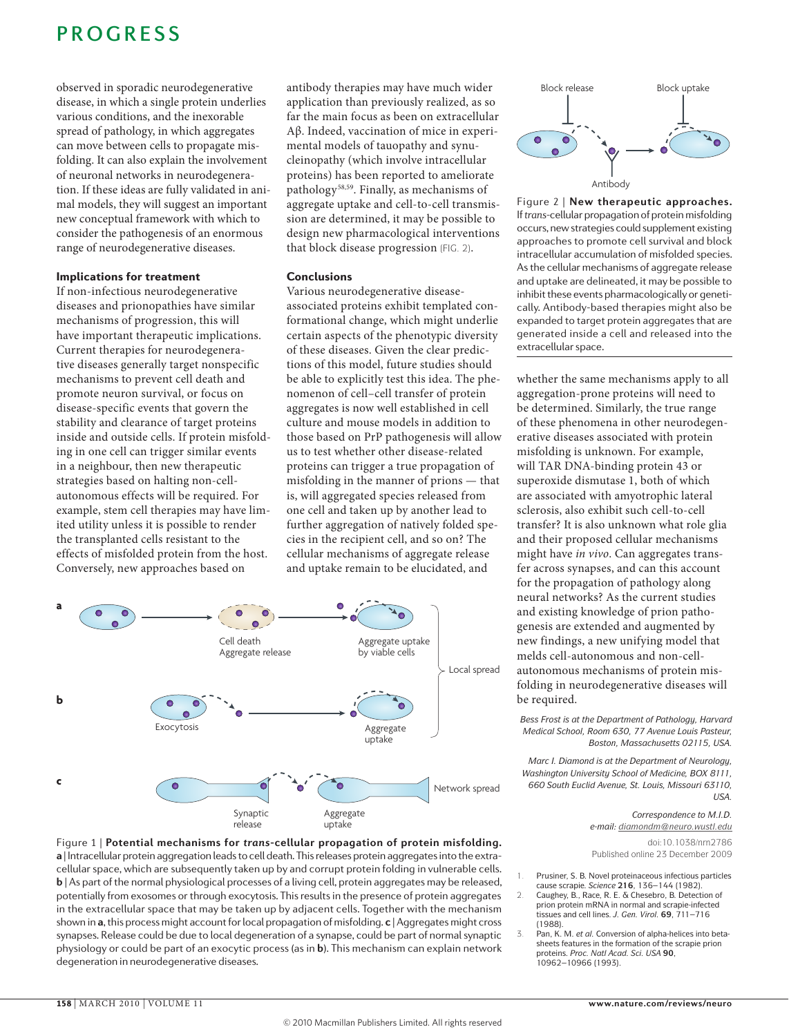## **PROGRESS**

observed in sporadic neurodegenerative disease, in which a single protein underlies various conditions, and the inexorable spread of pathology, in which aggregates can move between cells to propagate misfolding. It can also explain the involvement of neuronal networks in neurodegeneration. If these ideas are fully validated in animal models, they will suggest an important new conceptual framework with which to consider the pathogenesis of an enormous range of neurodegenerative diseases.

#### Implications for treatment

If non-infectious neurodegenerative diseases and prionopathies have similar mechanisms of progression, this will have important therapeutic implications. Current therapies for neurodegenerative diseases generally target nonspecific mechanisms to prevent cell death and promote neuron survival, or focus on disease-specific events that govern the stability and clearance of target proteins inside and outside cells. If protein misfolding in one cell can trigger similar events in a neighbour, then new therapeutic strategies based on halting non-cellautonomous effects will be required. For example, stem cell therapies may have limited utility unless it is possible to render the transplanted cells resistant to the effects of misfolded protein from the host. Conversely, new approaches based on

antibody therapies may have much wider application than previously realized, as so far the main focus as been on extracellular Aβ. Indeed, vaccination of mice in experimental models of tauopathy and synucleinopathy (which involve intracellular proteins) has been reported to ameliorate pathology58,59. Finally, as mechanisms of aggregate uptake and cell-to-cell transmission are determined, it may be possible to design new pharmacological interventions that block disease progression (fIG. 2).

#### Conclusions

various neurodegenerative diseaseassociated proteins exhibit templated conformational change, which might underlie certain aspects of the phenotypic diversity of these diseases. Given the clear predictions of this model, future studies should be able to explicitly test this idea. The phenomenon of cell–cell transfer of protein aggregates is now well established in cell culture and mouse models in addition to those based on PrP pathogenesis will allow us to test whether other disease-related proteins can trigger a true propagation of misfolding in the manner of prions — that is, will aggregated species released from one cell and taken up by another lead to further aggregation of natively folded species in the recipient cell, and so on? The cellular mechanisms of aggregate release and uptake remain to be elucidated, and







If *trans-cellular propagation of protein misfolding* Figure 2 | **New therapeutic approaches.**  occurs, new strategies could supplement existing approaches to promote cell survival and block intracellular accumulation of misfolded species. As the cellular mechanisms of aggregate release and uptake are delineated, it may be possible to inhibit these events pharmacologically or genetically. Antibody-based therapies might also be expanded to target protein aggregates that are generated inside a cell and released into the extracellular space.

whether the same mechanisms apply to all aggregation-prone proteins will need to be determined. Similarly, the true range of these phenomena in other neurodegenerative diseases associated with protein misfolding is unknown. For example, will TAR DNA-binding protein 43 or superoxide dismutase 1, both of which are associated with amyotrophic lateral sclerosis, also exhibit such cell-to-cell transfer? It is also unknown what role glia and their proposed cellular mechanisms might have *in vivo*. Can aggregates transfer across synapses, and can this account for the propagation of pathology along neural networks? As the current studies and existing knowledge of prion pathogenesis are extended and augmented by new findings, a new unifying model that melds cell-autonomous and non-cellautonomous mechanisms of protein misfolding in neurodegenerative diseases will be required.

*Bess Frost is at the Department of Pathology, Harvard Medical School, Room 630, 77 Avenue Louis Pasteur, Boston, Massachusetts 02115, USA.*

*Marc I. Diamond is at the Department of Neurology, Washington University School of Medicine, BOX 8111, 660 South Euclid Avenue, St. Louis, Missouri 63110, USA.*

> *Correspondence to M.I.D. e‑mail: [diamondm@neuro.wustl.edu](mailto:diamondm@neuro.wustl.edu)* doi:10.1038/nrn2786 Published online 23 December 2009

- Prusiner, S. B. Novel proteinaceous infectious particles cause scrapie. *Science* **216**, 136–144 (1982).
- 2. Caughey, B., Race, R. E. & Chesebro, B. Detection of prion protein mRNA in normal and scrapie-infected tissues and cell lines. *J. Gen. Virol.* **69**, 711–716 (1988).
- 3. Pan, K. M. *et al.* Conversion of alpha-helices into betasheets features in the formation of the scrapie prion proteins. *Proc. Natl Acad. Sci. USA* **90**, 10962–10966 (1993).